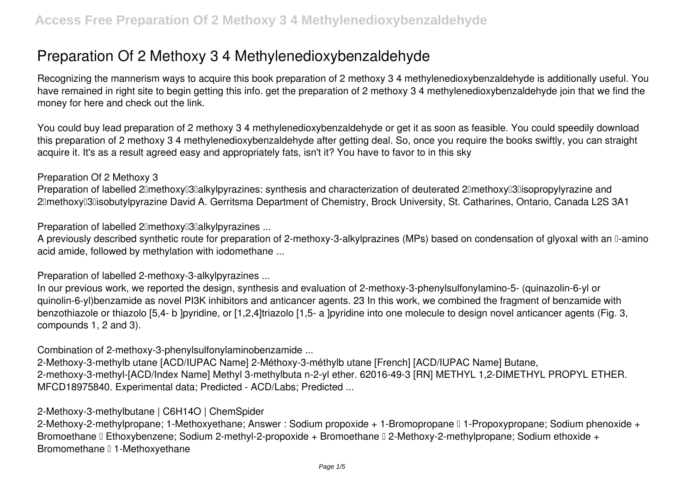# **Preparation Of 2 Methoxy 3 4 Methylenedioxybenzaldehyde**

Recognizing the mannerism ways to acquire this book **preparation of 2 methoxy 3 4 methylenedioxybenzaldehyde** is additionally useful. You have remained in right site to begin getting this info. get the preparation of 2 methoxy 3 4 methylenedioxybenzaldehyde join that we find the money for here and check out the link.

You could buy lead preparation of 2 methoxy 3 4 methylenedioxybenzaldehyde or get it as soon as feasible. You could speedily download this preparation of 2 methoxy 3 4 methylenedioxybenzaldehyde after getting deal. So, once you require the books swiftly, you can straight acquire it. It's as a result agreed easy and appropriately fats, isn't it? You have to favor to in this sky

#### **Preparation Of 2 Methoxy 3**

Preparation of labelled 2<sup>[</sup>methoxy]<sup>3</sup>[alkylpyrazines: synthesis and characterization of deuterated 2<sup>[</sup>methoxy]<sup>3</sup>[1sopropylyrazine and 2<sup>[</sup>methoxy<sup>[1</sup>3] isobutylpyrazine David A. Gerritsma Department of Chemistry, Brock University, St. Catharines, Ontario, Canada L2S 3A1

**Preparation of labelled 2 lmethoxy 3 alkylpyrazines ...** 

A previously described synthetic route for preparation of 2-methoxy-3-alkylprazines (MPs) based on condensation of glyoxal with an  $\mathbb I$ -amino acid amide, followed by methylation with iodomethane ...

**Preparation of labelled 2-methoxy-3-alkylpyrazines ...**

In our previous work, we reported the design, synthesis and evaluation of 2-methoxy-3-phenylsulfonylamino-5- (quinazolin-6-yl or quinolin-6-yl)benzamide as novel PI3K inhibitors and anticancer agents. 23 In this work, we combined the fragment of benzamide with benzothiazole or thiazolo [5,4- b ]pyridine, or [1,2,4]triazolo [1,5- a ]pyridine into one molecule to design novel anticancer agents (Fig. 3, compounds 1, 2 and 3).

**Combination of 2-methoxy-3-phenylsulfonylaminobenzamide ...**

2-Methoxy-3-methylb utane [ACD/IUPAC Name] 2-Méthoxy-3-méthylb utane [French] [ACD/IUPAC Name] Butane, 2-methoxy-3-methyl-[ACD/Index Name] Methyl 3-methylbuta n-2-yl ether. 62016-49-3 [RN] METHYL 1,2-DIMETHYL PROPYL ETHER. MFCD18975840. Experimental data; Predicted - ACD/Labs; Predicted ...

# **2-Methoxy-3-methylbutane | C6H14O | ChemSpider**

2-Methoxy-2-methylpropane; 1-Methoxyethane; Answer : Sodium propoxide + 1-Bromopropane □ 1-Propoxypropane; Sodium phenoxide + Bromoethane II Ethoxybenzene; Sodium 2-methyl-2-propoxide + Bromoethane II 2-Methoxy-2-methylpropane; Sodium ethoxide + Bromomethane 11-Methoxyethane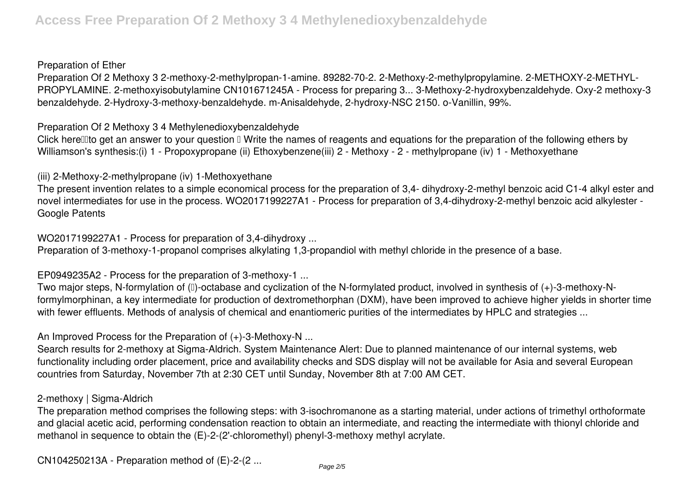#### **Preparation of Ether**

Preparation Of 2 Methoxy 3 2-methoxy-2-methylpropan-1-amine. 89282-70-2. 2-Methoxy-2-methylpropylamine. 2-METHOXY-2-METHYL-PROPYLAMINE. 2-methoxyisobutylamine CN101671245A - Process for preparing 3... 3-Methoxy-2-hydroxybenzaldehyde. Oxy-2 methoxy-3 benzaldehyde. 2-Hydroxy-3-methoxy-benzaldehyde. m-Anisaldehyde, 2-hydroxy-NSC 2150. o-Vanillin, 99%.

**Preparation Of 2 Methoxy 3 4 Methylenedioxybenzaldehyde**

Click herell to get an answer to your question  $\mathbb I$  Write the names of reagents and equations for the preparation of the following ethers by Williamson's synthesis:(i) 1 - Propoxypropane (ii) Ethoxybenzene(iii) 2 - Methoxy - 2 - methylpropane (iv) 1 - Methoxyethane

**(iii) 2-Methoxy-2-methylpropane (iv) 1-Methoxyethane**

The present invention relates to a simple economical process for the preparation of 3,4- dihydroxy-2-methyl benzoic acid C1-4 alkyl ester and novel intermediates for use in the process. WO2017199227A1 - Process for preparation of 3,4-dihydroxy-2-methyl benzoic acid alkylester - Google Patents

**WO2017199227A1 - Process for preparation of 3,4-dihydroxy ...**

Preparation of 3-methoxy-1-propanol comprises alkylating 1,3-propandiol with methyl chloride in the presence of a base.

**EP0949235A2 - Process for the preparation of 3-methoxy-1 ...**

Two major steps, N-formylation of (□)-octabase and cyclization of the N-formylated product, involved in synthesis of (+)-3-methoxy-Nformylmorphinan, a key intermediate for production of dextromethorphan (DXM), have been improved to achieve higher yields in shorter time with fewer effluents. Methods of analysis of chemical and enantiomeric purities of the intermediates by HPLC and strategies ...

**An Improved Process for the Preparation of (+)-3-Methoxy-N ...**

Search results for 2-methoxy at Sigma-Aldrich. System Maintenance Alert: Due to planned maintenance of our internal systems, web functionality including order placement, price and availability checks and SDS display will not be available for Asia and several European countries from Saturday, November 7th at 2:30 CET until Sunday, November 8th at 7:00 AM CET.

#### **2-methoxy | Sigma-Aldrich**

The preparation method comprises the following steps: with 3-isochromanone as a starting material, under actions of trimethyl orthoformate and glacial acetic acid, performing condensation reaction to obtain an intermediate, and reacting the intermediate with thionyl chloride and methanol in sequence to obtain the (E)-2-(2'-chloromethyl) phenyl-3-methoxy methyl acrylate.

**CN104250213A - Preparation method of (E)-2-(2 ...**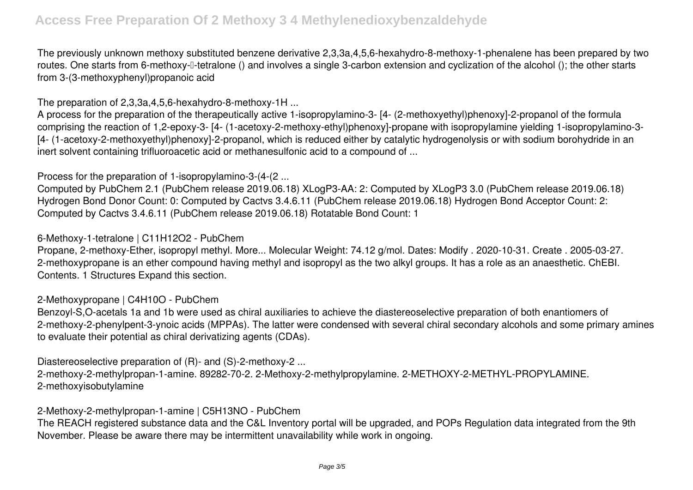The previously unknown methoxy substituted benzene derivative 2,3,3a,4,5,6-hexahydro-8-methoxy-1-phenalene has been prepared by two routes. One starts from 6-methoxy-<sup>[</sup>-tetralone () and involves a single 3-carbon extension and cyclization of the alcohol (); the other starts from 3-(3-methoxyphenyl)propanoic acid

**The preparation of 2,3,3a,4,5,6-hexahydro-8-methoxy-1H ...**

A process for the preparation of the therapeutically active 1-isopropylamino-3- [4- (2-methoxyethyl)phenoxy]-2-propanol of the formula comprising the reaction of 1,2-epoxy-3- [4- (1-acetoxy-2-methoxy-ethyl)phenoxy]-propane with isopropylamine yielding 1-isopropylamino-3- [4- (1-acetoxy-2-methoxyethyl)phenoxy]-2-propanol, which is reduced either by catalytic hydrogenolysis or with sodium borohydride in an inert solvent containing trifluoroacetic acid or methanesulfonic acid to a compound of ...

**Process for the preparation of 1-isopropylamino-3-(4-(2 ...**

Computed by PubChem 2.1 (PubChem release 2019.06.18) XLogP3-AA: 2: Computed by XLogP3 3.0 (PubChem release 2019.06.18) Hydrogen Bond Donor Count: 0: Computed by Cactvs 3.4.6.11 (PubChem release 2019.06.18) Hydrogen Bond Acceptor Count: 2: Computed by Cactvs 3.4.6.11 (PubChem release 2019.06.18) Rotatable Bond Count: 1

### **6-Methoxy-1-tetralone | C11H12O2 - PubChem**

Propane, 2-methoxy-Ether, isopropyl methyl. More... Molecular Weight: 74.12 g/mol. Dates: Modify . 2020-10-31. Create . 2005-03-27. 2-methoxypropane is an ether compound having methyl and isopropyl as the two alkyl groups. It has a role as an anaesthetic. ChEBI. Contents. 1 Structures Expand this section.

# **2-Methoxypropane | C4H10O - PubChem**

Benzoyl-S,O-acetals 1a and 1b were used as chiral auxiliaries to achieve the diastereoselective preparation of both enantiomers of 2-methoxy-2-phenylpent-3-ynoic acids (MPPAs). The latter were condensed with several chiral secondary alcohols and some primary amines to evaluate their potential as chiral derivatizing agents (CDAs).

**Diastereoselective preparation of (R)- and (S)-2-methoxy-2 ...**

2-methoxy-2-methylpropan-1-amine. 89282-70-2. 2-Methoxy-2-methylpropylamine. 2-METHOXY-2-METHYL-PROPYLAMINE. 2-methoxyisobutylamine

#### **2-Methoxy-2-methylpropan-1-amine | C5H13NO - PubChem**

The REACH registered substance data and the C&L Inventory portal will be upgraded, and POPs Regulation data integrated from the 9th November. Please be aware there may be intermittent unavailability while work in ongoing.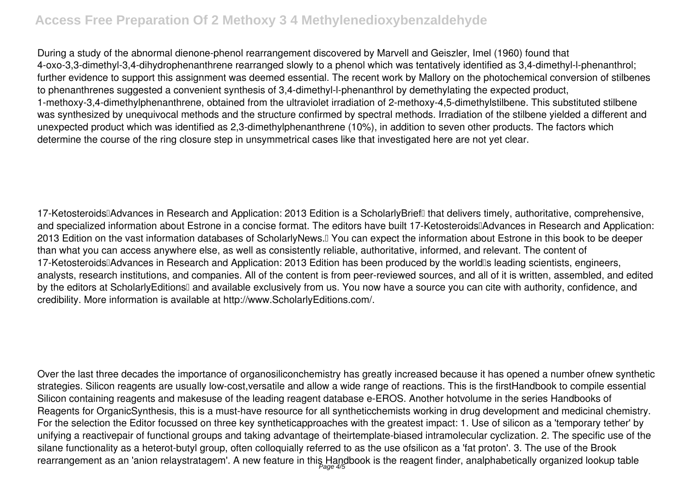# **Access Free Preparation Of 2 Methoxy 3 4 Methylenedioxybenzaldehyde**

During a study of the abnormal dienone-phenol rearrangement discovered by Marvell and Geiszler, Imel (1960) found that 4-oxo-3,3-dimethyl-3,4-dihydrophenanthrene rearranged slowly to a phenol which was tentatively identified as 3,4-dimethyl-l-phenanthrol; further evidence to support this assignment was deemed essential. The recent work by Mallory on the photochemical conversion of stilbenes to phenanthrenes suggested a convenient synthesis of 3,4-dimethyl-l-phenanthrol by demethylating the expected product, 1-methoxy-3,4-dimethylphenanthrene, obtained from the ultraviolet irradiation of 2-methoxy-4,5-dimethylstilbene. This substituted stilbene was synthesized by unequivocal methods and the structure confirmed by spectral methods. Irradiation of the stilbene yielded a different and unexpected product which was identified as 2,3-dimethylphenanthrene (10%), in addition to seven other products. The factors which determine the course of the ring closure step in unsymmetrical cases like that investigated here are not yet clear.

17-Ketosteroids□Advances in Research and Application: 2013 Edition is a ScholarlyBrief□ that delivers timely, authoritative, comprehensive, and specialized information about Estrone in a concise format. The editors have built 17-Ketosteroids Advances in Research and Application: 2013 Edition on the vast information databases of ScholarlyNews.<sup>[]</sup> You can expect the information about Estrone in this book to be deeper than what you can access anywhere else, as well as consistently reliable, authoritative, informed, and relevant. The content of 17-Ketosteroids<sup>[]</sup>Advances in Research and Application: 2013 Edition has been produced by the world<sup>[]</sup>s leading scientists, engineers, analysts, research institutions, and companies. All of the content is from peer-reviewed sources, and all of it is written, assembled, and edited by the editors at ScholarlyEditions<sup>[]</sup> and available exclusively from us. You now have a source you can cite with authority, confidence, and credibility. More information is available at http://www.ScholarlyEditions.com/.

Over the last three decades the importance of organosiliconchemistry has greatly increased because it has opened a number ofnew synthetic strategies. Silicon reagents are usually low-cost,versatile and allow a wide range of reactions. This is the firstHandbook to compile essential Silicon containing reagents and makesuse of the leading reagent database e-EROS. Another hotvolume in the series Handbooks of Reagents for OrganicSynthesis, this is a must-have resource for all syntheticchemists working in drug development and medicinal chemistry. For the selection the Editor focussed on three key syntheticapproaches with the greatest impact: 1. Use of silicon as a 'temporary tether' by unifying a reactivepair of functional groups and taking advantage of theirtemplate-biased intramolecular cyclization. 2. The specific use of the silane functionality as a heterot-butyl group, often colloquially referred to as the use ofsilicon as a 'fat proton'. 3. The use of the Brook rearrangement as an 'anion relaystratagem'. A new feature in this Handbook is the reagent finder, analphabetically organized lookup table Page 4/5